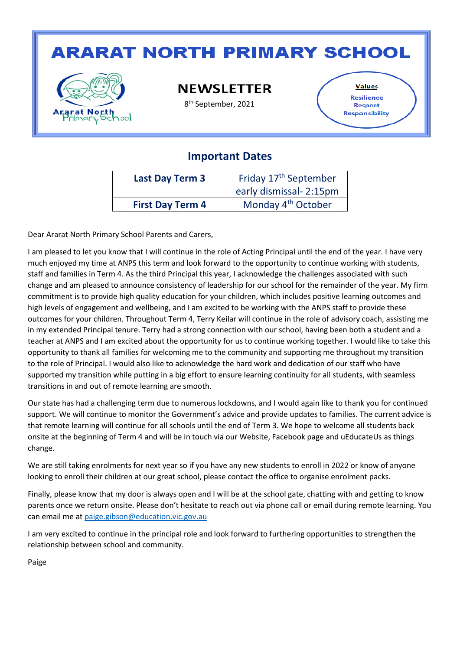## **ARARAT NORTH PRIMARY SCHOOL**



**NEWSLETTER** 

8 th September, 2021

**Values** Resilience **Respect** Responsibility

#### **Important Dates**

| <b>Last Day Term 3</b>  | Friday 17 <sup>th</sup> September<br>early dismissal- 2:15pm |  |
|-------------------------|--------------------------------------------------------------|--|
| <b>First Day Term 4</b> | Monday 4 <sup>th</sup> October                               |  |

Dear Ararat North Primary School Parents and Carers,

I am pleased to let you know that I will continue in the role of Acting Principal until the end of the year. I have very much enjoyed my time at ANPS this term and look forward to the opportunity to continue working with students, staff and families in Term 4. As the third Principal this year, I acknowledge the challenges associated with such change and am pleased to announce consistency of leadership for our school for the remainder of the year. My firm commitment is to provide high quality education for your children, which includes positive learning outcomes and high levels of engagement and wellbeing, and I am excited to be working with the ANPS staff to provide these outcomes for your children. Throughout Term 4, Terry Keilar will continue in the role of advisory coach, assisting me in my extended Principal tenure. Terry had a strong connection with our school, having been both a student and a teacher at ANPS and I am excited about the opportunity for us to continue working together. I would like to take this opportunity to thank all families for welcoming me to the community and supporting me throughout my transition to the role of Principal. I would also like to acknowledge the hard work and dedication of our staff who have supported my transition while putting in a big effort to ensure learning continuity for all students, with seamless transitions in and out of remote learning are smooth.

Our state has had a challenging term due to numerous lockdowns, and I would again like to thank you for continued support. We will continue to monitor the Government's advice and provide updates to families. The current advice is that remote learning will continue for all schools until the end of Term 3. We hope to welcome all students back onsite at the beginning of Term 4 and will be in touch via our Website, Facebook page and uEducateUs as things change.

We are still taking enrolments for next year so if you have any new students to enroll in 2022 or know of anyone looking to enroll their children at our great school, please contact the office to organise enrolment packs.

Finally, please know that my door is always open and I will be at the school gate, chatting with and getting to know parents once we return onsite. Please don't hesitate to reach out via phone call or email during remote learning. You can email me at [paige.gibson@education.vic.gov.au](mailto:paige.gibson@education.vic.gov.au)

I am very excited to continue in the principal role and look forward to furthering opportunities to strengthen the relationship between school and community.

Paige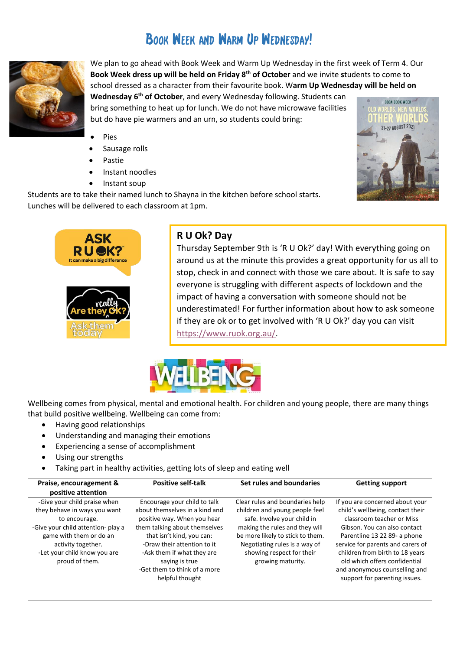### BOOK WEEK AND WARM UP WEDNESDAY!



We plan to go ahead with Book Week and Warm Up Wednesday in the first week of Term 4. Our **Book Week dress up will be held on Friday 8 th of October** and we invite **s**tudents to come to school dressed as a character from their favourite book. W**arm Up Wednesday will be held on** 

**Wednesday 6 th of October**, and every Wednesday following. Students can bring something to heat up for lunch. We do not have microwave facilities but do have pie warmers and an urn, so students could bring:

- **Pies**
- Sausage rolls
- Pastie
- Instant noodles
- Instant soup

Students are to take their named lunch to Shayna in the kitchen before school starts. Lunches will be delivered to each classroom at 1pm.





#### **R U Ok? Day**

Thursday September 9th is 'R U Ok?' day! With everything going on around us at the minute this provides a great opportunity for us all to stop, check in and connect with those we care about. It is safe to say everyone is struggling with different aspects of lockdown and the impact of having a conversation with someone should not be underestimated! For further information about how to ask someone if they are ok or to get involved with 'R U Ok?' day you can visit [https://www.ruok.org.au/.](https://www.ruok.org.au/)



Wellbeing comes from physical, mental and emotional health. For children and young people, there are many things that build positive wellbeing. Wellbeing can come from:

- Having good relationships
- Understanding and managing their emotions
- Experiencing a sense of accomplishment
- Using our strengths
- Taking part in healthy activities, getting lots of sleep and eating well

| Praise, encouragement &<br>positive attention                                                                                                                                                                          | <b>Positive self-talk</b>                                                                                                                                                                                                                                                                     | Set rules and boundaries                                                                                                                                                                                                                                  | <b>Getting support</b>                                                                                                                                                                                                                                                                                                                      |
|------------------------------------------------------------------------------------------------------------------------------------------------------------------------------------------------------------------------|-----------------------------------------------------------------------------------------------------------------------------------------------------------------------------------------------------------------------------------------------------------------------------------------------|-----------------------------------------------------------------------------------------------------------------------------------------------------------------------------------------------------------------------------------------------------------|---------------------------------------------------------------------------------------------------------------------------------------------------------------------------------------------------------------------------------------------------------------------------------------------------------------------------------------------|
| -Give your child praise when<br>they behave in ways you want<br>to encourage.<br>-Give your child attention- play a<br>game with them or do an<br>activity together.<br>-Let your child know you are<br>proud of them. | Encourage your child to talk<br>about themselves in a kind and<br>positive way. When you hear<br>them talking about themselves<br>that isn't kind, you can:<br>-Draw their attention to it<br>-Ask them if what they are<br>saying is true<br>-Get them to think of a more<br>helpful thought | Clear rules and boundaries help<br>children and young people feel<br>safe. Involve your child in<br>making the rules and they will<br>be more likely to stick to them.<br>Negotiating rules is a way of<br>showing respect for their<br>growing maturity. | If you are concerned about your<br>child's wellbeing, contact their<br>classroom teacher or Miss<br>Gibson. You can also contact<br>Parentline 13 22 89- a phone<br>service for parents and carers of<br>children from birth to 18 years<br>old which offers confidential<br>and anonymous counselling and<br>support for parenting issues. |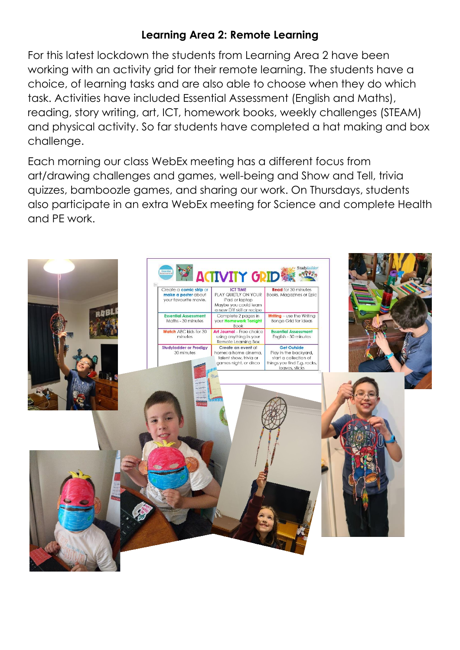#### **Learning Area 2: Remote Learning**

For this latest lockdown the students from Learning Area 2 have been working with an activity grid for their remote learning. The students have a choice, of learning tasks and are also able to choose when they do which task. Activities have included Essential Assessment (English and Maths), reading, story writing, art, ICT, homework books, weekly challenges (STEAM) and physical activity. So far students have completed a hat making and box challenge.

Each morning our class WebEx meeting has a different focus from art/drawing challenges and games, well-being and Show and Tell, trivia quizzes, bamboozle games, and sharing our work. On Thursdays, students also participate in an extra WebEx meeting for Science and complete Health and PE work.